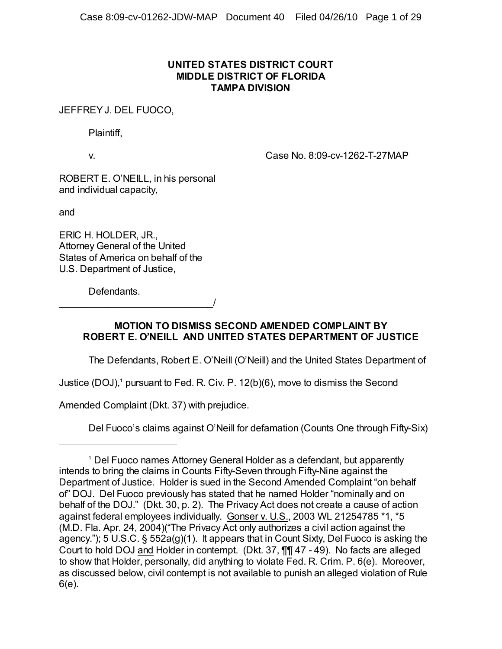## **UNITED STATES DISTRICT COURT MIDDLE DISTRICT OF FLORIDA TAMPA DIVISION**

JEFFREY J. DEL FUOCO,

Plaintiff,

v. Case No. 8:09-cv-1262-T-27MAP

ROBERT E. O'NEILL, in his personal and individual capacity,

and

ERIC H. HOLDER, JR., Attorney General of the United States of America on behalf of the U.S. Department of Justice,

\_\_\_\_\_\_\_\_\_\_\_\_\_\_\_\_\_\_\_\_\_\_\_\_\_\_\_\_/

Defendants.

**MOTION TO DISMISS SECOND AMENDED COMPLAINT BY ROBERT E. O'NEILL AND UNITED STATES DEPARTMENT OF JUSTICE**

The Defendants, Robert E. O'Neill (O'Neill) and the United States Department of

Justice (DOJ),<sup>1</sup> pursuant to Fed. R. Civ. P. 12(b)(6), move to dismiss the Second

Amended Complaint (Dkt. 37) with prejudice.

Del Fuoco's claims against O'Neill for defamation (Counts One through Fifty-Six)

<sup>&</sup>lt;sup>1</sup> Del Fuoco names Attorney General Holder as a defendant, but apparently intends to bring the claims in Counts Fifty-Seven through Fifty-Nine against the Department of Justice. Holder is sued in the Second Amended Complaint "on behalf of" DOJ. Del Fuoco previously has stated that he named Holder "nominally and on behalf of the DOJ." (Dkt. 30, p. 2). The Privacy Act does not create a cause of action against federal employees individually. Gonser v. U.S., 2003 WL 21254785 \*1, \*5 (M.D. Fla. Apr. 24, 2004)("The Privacy Act only authorizes a civil action against the agency."); 5 U.S.C. § 552a(g)(1). It appears that in Count Sixty, Del Fuoco is asking the Court to hold DOJ and Holder in contempt. (Dkt. 37, ¶¶ 47 - 49). No facts are alleged to show that Holder, personally, did anything to violate Fed. R. Crim. P. 6(e). Moreover, as discussed below, civil contempt is not available to punish an alleged violation of Rule 6(e).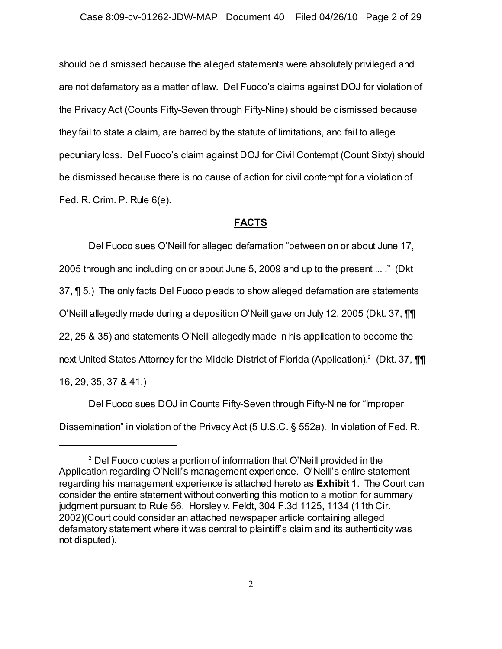should be dismissed because the alleged statements were absolutely privileged and are not defamatory as a matter of law. Del Fuoco's claims against DOJ for violation of the Privacy Act (Counts Fifty-Seven through Fifty-Nine) should be dismissed because they fail to state a claim, are barred by the statute of limitations, and fail to allege pecuniary loss. Del Fuoco's claim against DOJ for Civil Contempt (Count Sixty) should be dismissed because there is no cause of action for civil contempt for a violation of Fed. R. Crim. P. Rule 6(e).

## **FACTS**

Del Fuoco sues O'Neill for alleged defamation "between on or about June 17, 2005 through and including on or about June 5, 2009 and up to the present ... ." (Dkt 37, ¶ 5.) The only facts Del Fuoco pleads to show alleged defamation are statements O'Neill allegedly made during a deposition O'Neill gave on July 12, 2005 (Dkt. 37, ¶¶ 22, 25 & 35) and statements O'Neill allegedly made in his application to become the next United States Attorney for the Middle District of Florida (Application).<sup>2</sup> (Dkt. 37,  $\P\P$ 16, 29, 35, 37 & 41.)

Del Fuoco sues DOJ in Counts Fifty-Seven through Fifty-Nine for "Improper Dissemination" in violation of the Privacy Act (5 U.S.C. § 552a). In violation of Fed. R.

 $^{\text{2}}$  Del Fuoco quotes a portion of information that O'Neill provided in the Application regarding O'Neill's management experience. O'Neill's entire statement regarding his management experience is attached hereto as **Exhibit 1**. The Court can consider the entire statement without converting this motion to a motion for summary judgment pursuant to Rule 56. Horsley v. Feldt, 304 F.3d 1125, 1134 (11th Cir. 2002)(Court could consider an attached newspaper article containing alleged defamatory statement where it was central to plaintiff's claim and its authenticity was not disputed).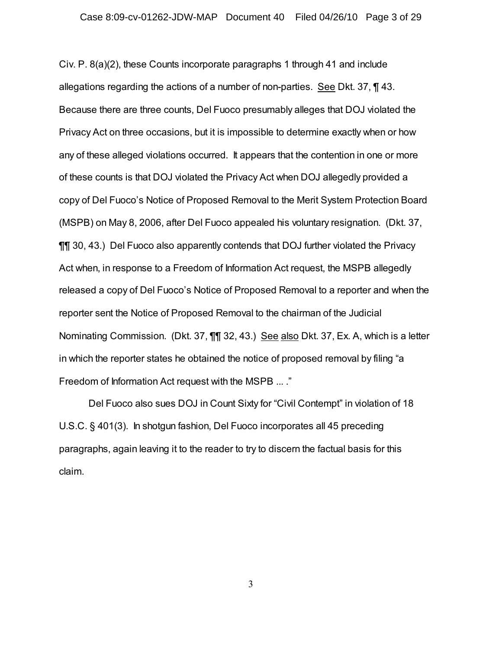Civ. P. 8(a)(2), these Counts incorporate paragraphs 1 through 41 and include allegations regarding the actions of a number of non-parties. See Dkt. 37, ¶ 43. Because there are three counts, Del Fuoco presumably alleges that DOJ violated the Privacy Act on three occasions, but it is impossible to determine exactly when or how any of these alleged violations occurred. It appears that the contention in one or more of these counts is that DOJ violated the Privacy Act when DOJ allegedly provided a copy of Del Fuoco's Notice of Proposed Removal to the Merit System Protection Board (MSPB) on May 8, 2006, after Del Fuoco appealed his voluntary resignation. (Dkt. 37, ¶¶ 30, 43.) Del Fuoco also apparently contends that DOJ further violated the Privacy Act when, in response to a Freedom of Information Act request, the MSPB allegedly released a copy of Del Fuoco's Notice of Proposed Removal to a reporter and when the reporter sent the Notice of Proposed Removal to the chairman of the Judicial Nominating Commission. (Dkt. 37, ¶¶ 32, 43.) See also Dkt. 37, Ex. A, which is a letter in which the reporter states he obtained the notice of proposed removal by filing "a Freedom of Information Act request with the MSPB ... ."

Del Fuoco also sues DOJ in Count Sixty for "Civil Contempt" in violation of 18 U.S.C. § 401(3). In shotgun fashion, Del Fuoco incorporates all 45 preceding paragraphs, again leaving it to the reader to try to discern the factual basis for this claim.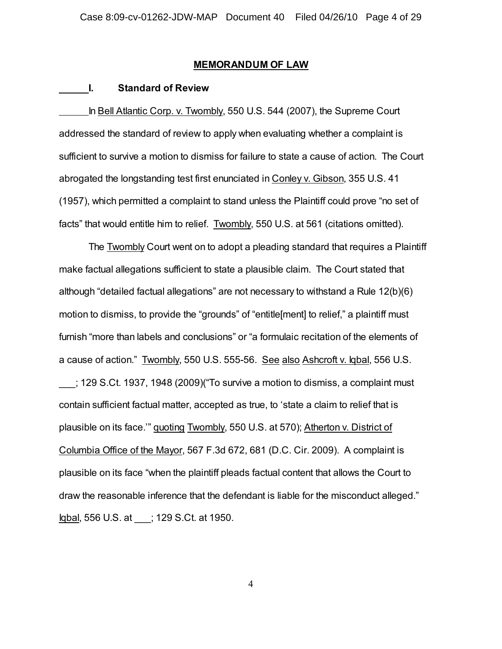#### **MEMORANDUM OF LAW**

#### **I. Standard of Review**

In Bell Atlantic Corp. v. Twombly, 550 U.S. 544 (2007), the Supreme Court addressed the standard of review to apply when evaluating whether a complaint is sufficient to survive a motion to dismiss for failure to state a cause of action. The Court abrogated the longstanding test first enunciated in Conley v. Gibson, 355 U.S. 41 (1957), which permitted a complaint to stand unless the Plaintiff could prove "no set of facts" that would entitle him to relief. Twombly, 550 U.S. at 561 (citations omitted).

The Twombly Court went on to adopt a pleading standard that requires a Plaintiff make factual allegations sufficient to state a plausible claim. The Court stated that although "detailed factual allegations" are not necessary to withstand a Rule 12(b)(6) motion to dismiss, to provide the "grounds" of "entitle[ment] to relief," a plaintiff must furnish "more than labels and conclusions" or "a formulaic recitation of the elements of a cause of action." Twombly, 550 U.S. 555-56. See also Ashcroft v. Iqbal, 556 U.S. \_\_\_; 129 S.Ct. 1937, 1948 (2009)("To survive a motion to dismiss, a complaint must contain sufficient factual matter, accepted as true, to 'state a claim to relief that is plausible on its face.'" quoting Twombly, 550 U.S. at 570); Atherton v. District of Columbia Office of the Mayor, 567 F.3d 672, 681 (D.C. Cir. 2009). A complaint is plausible on its face "when the plaintiff pleads factual content that allows the Court to draw the reasonable inference that the defendant is liable for the misconduct alleged." Iqbal, 556 U.S. at \_\_\_; 129 S.Ct. at 1950.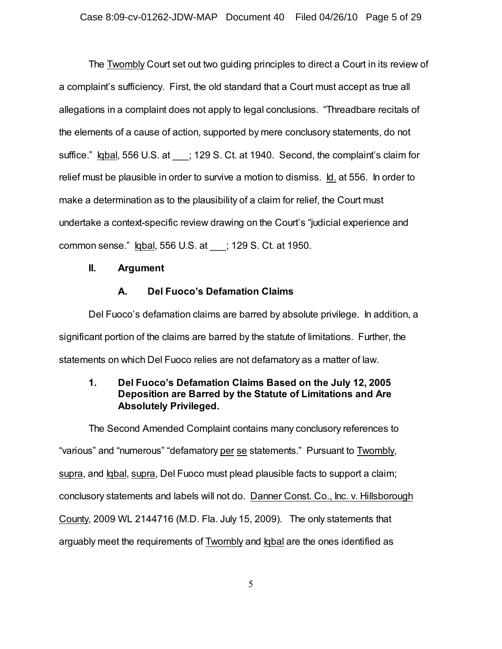The Twombly Court set out two guiding principles to direct a Court in its review of a complaint's sufficiency. First, the old standard that a Court must accept as true all allegations in a complaint does not apply to legal conclusions. "Threadbare recitals of the elements of a cause of action, supported by mere conclusory statements, do not suffice." Igbal, 556 U.S. at : 129 S. Ct. at 1940. Second, the complaint's claim for relief must be plausible in order to survive a motion to dismiss. Id. at 556. In order to make a determination as to the plausibility of a claim for relief, the Court must undertake a context-specific review drawing on the Court's "judicial experience and common sense." Iqbal, 556 U.S. at \_\_\_; 129 S. Ct. at 1950.

### **II. Argument**

## **A. Del Fuoco's Defamation Claims**

Del Fuoco's defamation claims are barred by absolute privilege. In addition, a significant portion of the claims are barred by the statute of limitations. Further, the statements on which Del Fuoco relies are not defamatory as a matter of law.

## **1. Del Fuoco's Defamation Claims Based on the July 12, 2005 Deposition are Barred by the Statute of Limitations and Are Absolutely Privileged.**

The Second Amended Complaint contains many conclusory references to "various" and "numerous" "defamatory per se statements." Pursuant to Twombly, supra, and Iqbal, supra, Del Fuoco must plead plausible facts to support a claim; conclusory statements and labels will not do. Danner Const. Co., Inc. v. Hillsborough County, 2009 WL 2144716 (M.D. Fla. July 15, 2009). The only statements that arguably meet the requirements of Twombly and Iqbal are the ones identified as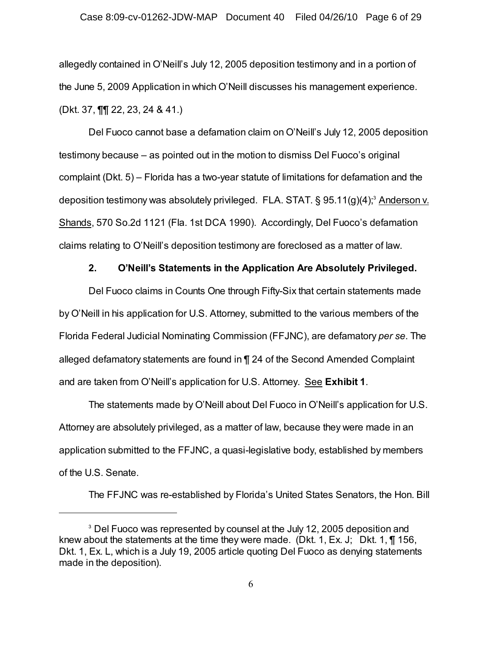#### Case 8:09-cv-01262-JDW-MAP Document 40 Filed 04/26/10 Page 6 of 29

allegedly contained in O'Neill's July 12, 2005 deposition testimony and in a portion of the June 5, 2009 Application in which O'Neill discusses his management experience. (Dkt. 37, ¶¶ 22, 23, 24 & 41.)

Del Fuoco cannot base a defamation claim on O'Neill's July 12, 2005 deposition testimony because – as pointed out in the motion to dismiss Del Fuoco's original complaint (Dkt. 5) – Florida has a two-year statute of limitations for defamation and the deposition testimony was absolutely privileged. FLA. STAT. § 95.11(g)(4);<sup>s</sup> <u>Anderson v.</u> Shands, 570 So.2d 1121 (Fla. 1st DCA 1990). Accordingly, Del Fuoco's defamation claims relating to O'Neill's deposition testimony are foreclosed as a matter of law.

## **2. O'Neill's Statements in the Application Are Absolutely Privileged.**

Del Fuoco claims in Counts One through Fifty-Six that certain statements made by O'Neill in his application for U.S. Attorney, submitted to the various members of the Florida Federal Judicial Nominating Commission (FFJNC), are defamatory *per se*. The alleged defamatory statements are found in ¶ 24 of the Second Amended Complaint and are taken from O'Neill's application for U.S. Attorney. See **Exhibit 1**.

The statements made by O'Neill about Del Fuoco in O'Neill's application for U.S. Attorney are absolutely privileged, as a matter of law, because they were made in an application submitted to the FFJNC, a quasi-legislative body, established by members of the U.S. Senate.

The FFJNC was re-established by Florida's United States Senators, the Hon. Bill

 $^{\rm 3}$  Del Fuoco was represented by counsel at the July 12, 2005 deposition and knew about the statements at the time they were made. (Dkt. 1, Ex. J; Dkt. 1,  $\P$  156, Dkt. 1, Ex. L, which is a July 19, 2005 article quoting Del Fuoco as denying statements made in the deposition).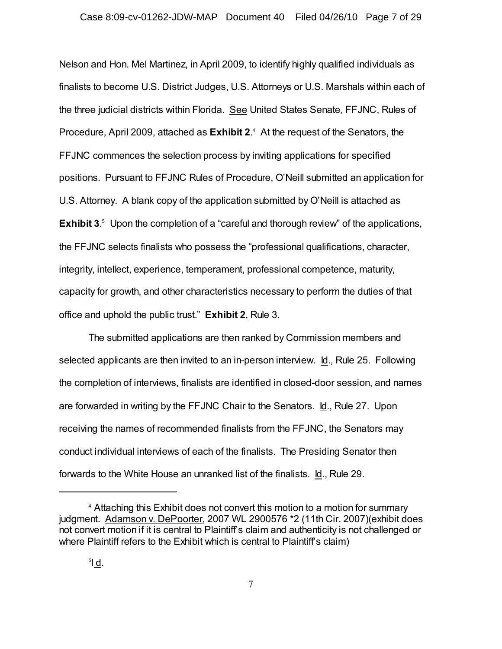Nelson and Hon. Mel Martinez, in April 2009, to identify highly qualified individuals as finalists to become U.S. District Judges, U.S. Attorneys or U.S. Marshals within each of the three judicial districts within Florida. See United States Senate, FFJNC, Rules of Procedure, April 2009, attached as **Exhibit 2**.<sup>4</sup> At the request of the Senators, the FFJNC commences the selection process by inviting applications for specified positions. Pursuant to FFJNC Rules of Procedure, O'Neill submitted an application for U.S. Attorney. A blank copy of the application submitted by O'Neill is attached as **Exhibit 3**.<sup>5</sup> Upon the completion of a "careful and thorough review" of the applications, the FFJNC selects finalists who possess the "professional qualifications, character, integrity, intellect, experience, temperament, professional competence, maturity, capacity for growth, and other characteristics necessary to perform the duties of that office and uphold the public trust." **Exhibit 2**, Rule 3.

The submitted applications are then ranked by Commission members and selected applicants are then invited to an in-person interview. Id., Rule 25. Following the completion of interviews, finalists are identified in closed-door session, and names are forwarded in writing by the FFJNC Chair to the Senators. Id., Rule 27.Upon receiving the names of recommended finalists from the FFJNC, the Senators may conduct individual interviews of each of the finalists. The Presiding Senator then forwards to the White House an unranked list of the finalists. Id., Rule 29.

<sup>&</sup>lt;sup>4</sup> Attaching this Exhibit does not convert this motion to a motion for summary judgment. Adamson v. DePoorter, 2007 WL 2900576 \*2 (11th Cir. 2007)(exhibit does not convert motion if it is central to Plaintiff's claim and authenticity is not challenged or where Plaintiff refers to the Exhibit which is central to Plaintiff's claim)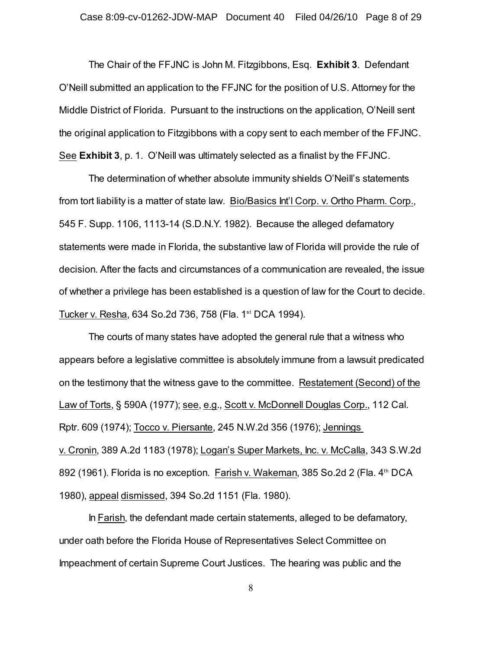The Chair of the FFJNC is John M. Fitzgibbons, Esq. **Exhibit 3**. Defendant O'Neill submitted an application to the FFJNC for the position of U.S. Attorney for the Middle District of Florida. Pursuant to the instructions on the application, O'Neill sent the original application to Fitzgibbons with a copy sent to each member of the FFJNC. See **Exhibit 3**, p. 1. O'Neill was ultimately selected as a finalist by the FFJNC.

The determination of whether absolute immunity shields O'Neill's statements from tort liability is a matter of state law. Bio/Basics Int'l Corp. v. Ortho Pharm. Corp., 545 F. Supp. 1106, 1113-14 (S.D.N.Y. 1982). Because the alleged defamatory statements were made in Florida, the substantive law of Florida will provide the rule of decision. After the facts and circumstances of a communication are revealed, the issue of whether a privilege has been established is a question of law for the Court to decide. Tucker v. Resha, 634 So.2d 736, 758 (Fla. 1<sup>st</sup> DCA 1994).

The courts of many states have adopted the general rule that a witness who appears before a legislative committee is absolutely immune from a lawsuit predicated on the testimony that the witness gave to the committee. Restatement (Second) of the Law of Torts, § 590A (1977); see, e.g., Scott v. McDonnell Douglas Corp., 112 Cal. Rptr. 609 (1974); Tocco v. Piersante, 245 N.W.2d 356 (1976); Jennings v. Cronin, 389 A.2d 1183 (1978); Logan's Super Markets, Inc. v. McCalla, 343 S.W.2d 892 (1961). Florida is no exception. Farish v. Wakeman, 385 So.2d 2 (Fla. 4<sup>th</sup> DCA 1980), appeal dismissed, 394 So.2d 1151 (Fla. 1980).

In Farish, the defendant made certain statements, alleged to be defamatory, under oath before the Florida House of Representatives Select Committee on Impeachment of certain Supreme Court Justices. The hearing was public and the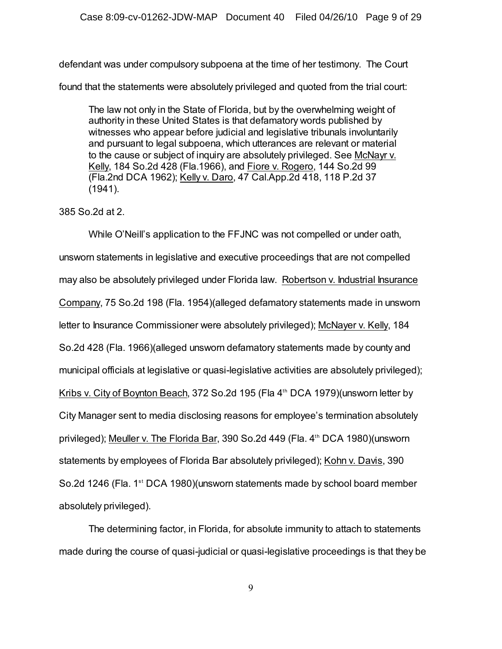defendant was under compulsory subpoena at the time of her testimony. The Court

found that the statements were absolutely privileged and quoted from the trial court:

The law not only in the State of Florida, but by the overwhelming weight of authority in these United States is that defamatory words published by witnesses who appear before judicial and legislative tribunals involuntarily and pursuant to legal subpoena, which utterances are relevant or material to the cause or subject of inquiry are absolutely privileged. See McNayr v. Kelly, 184 So.2d 428 (Fla.1966), and Fiore v. Rogero, 144 So.2d 99 (Fla.2nd DCA 1962); Kelly v. Daro, 47 Cal.App.2d 418, 118 P.2d 37 (1941).

## 385 So.2d at 2.

While O'Neill's application to the FFJNC was not compelled or under oath, unsworn statements in legislative and executive proceedings that are not compelled may also be absolutely privileged under Florida law. Robertson v. Industrial Insurance Company, 75 So.2d 198 (Fla. 1954)(alleged defamatory statements made in unsworn letter to Insurance Commissioner were absolutely privileged); McNayer v. Kelly, 184 So.2d 428 (Fla. 1966)(alleged unsworn defamatory statements made by county and municipal officials at legislative or quasi-legislative activities are absolutely privileged); Kribs v. City of Boynton Beach, 372 So.2d 195 (Fla  $4<sup>th</sup>$  DCA 1979)(unsworn letter by City Manager sent to media disclosing reasons for employee's termination absolutely privileged); Meuller v. The Florida Bar, 390 So.2d 449 (Fla. 4<sup>th</sup> DCA 1980)(unsworn statements by employees of Florida Bar absolutely privileged); Kohn v. Davis, 390 So.2d 1246 (Fla. 1<sup>st</sup> DCA 1980)(unsworn statements made by school board member absolutely privileged).

The determining factor, in Florida, for absolute immunity to attach to statements made during the course of quasi-judicial or quasi-legislative proceedings is that they be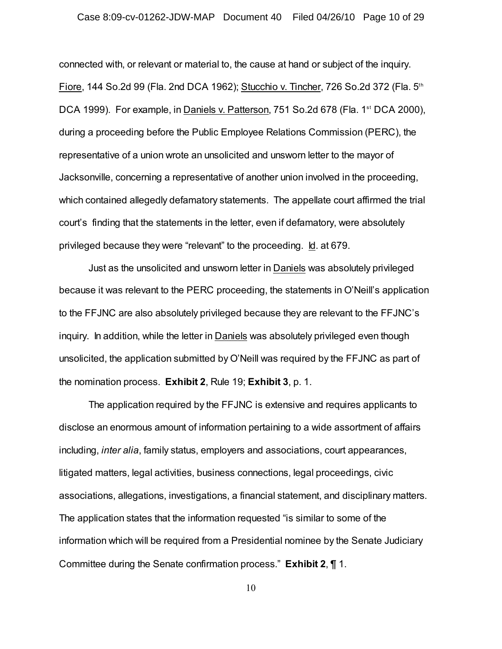### Case 8:09-cv-01262-JDW-MAP Document 40 Filed 04/26/10 Page 10 of 29

connected with, or relevant or material to, the cause at hand or subject of the inquiry. Fiore, 144 So.2d 99 (Fla. 2nd DCA 1962); Stucchio v. Tincher, 726 So.2d 372 (Fla. 5th DCA 1999). For example, in Daniels v. Patterson, 751 So.2d 678 (Fla. 1<sup>st</sup> DCA 2000), during a proceeding before the Public Employee Relations Commission (PERC), the representative of a union wrote an unsolicited and unsworn letter to the mayor of Jacksonville, concerning a representative of another union involved in the proceeding, which contained allegedly defamatory statements. The appellate court affirmed the trial court's finding that the statements in the letter, even if defamatory, were absolutely privileged because they were "relevant" to the proceeding. Id. at 679.

Just as the unsolicited and unsworn letter in Daniels was absolutely privileged because it was relevant to the PERC proceeding, the statements in O'Neill's application to the FFJNC are also absolutely privileged because they are relevant to the FFJNC's inquiry. In addition, while the letter in Daniels was absolutely privileged even though unsolicited, the application submitted by O'Neill was required by the FFJNC as part of the nomination process. **Exhibit 2**, Rule 19; **Exhibit 3**, p. 1.

The application required by the FFJNC is extensive and requires applicants to disclose an enormous amount of information pertaining to a wide assortment of affairs including, *inter alia*, family status, employers and associations, court appearances, litigated matters, legal activities, business connections, legal proceedings, civic associations, allegations, investigations, a financial statement, and disciplinary matters. The application states that the information requested "is similar to some of the information which will be required from a Presidential nominee by the Senate Judiciary Committee during the Senate confirmation process." **Exhibit 2**, ¶ 1.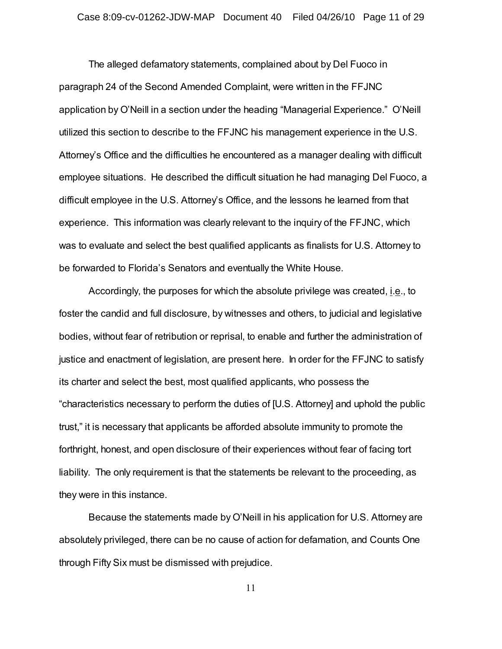The alleged defamatory statements, complained about by Del Fuoco in paragraph 24 of the Second Amended Complaint, were written in the FFJNC application by O'Neill in a section under the heading "Managerial Experience." O'Neill utilized this section to describe to the FFJNC his management experience in the U.S. Attorney's Office and the difficulties he encountered as a manager dealing with difficult employee situations. He described the difficult situation he had managing Del Fuoco, a difficult employee in the U.S. Attorney's Office, and the lessons he learned from that experience. This information was clearly relevant to the inquiry of the FFJNC, which was to evaluate and select the best qualified applicants as finalists for U.S. Attorney to be forwarded to Florida's Senators and eventually the White House.

Accordingly, the purposes for which the absolute privilege was created, i.e., to foster the candid and full disclosure, by witnesses and others, to judicial and legislative bodies, without fear of retribution or reprisal, to enable and further the administration of justice and enactment of legislation, are present here. In order for the FFJNC to satisfy its charter and select the best, most qualified applicants, who possess the "characteristics necessary to perform the duties of [U.S. Attorney] and uphold the public trust," it is necessary that applicants be afforded absolute immunity to promote the forthright, honest, and open disclosure of their experiences without fear of facing tort liability. The only requirement is that the statements be relevant to the proceeding, as they were in this instance.

Because the statements made by O'Neill in his application for U.S. Attorney are absolutely privileged, there can be no cause of action for defamation, and Counts One through Fifty Six must be dismissed with prejudice.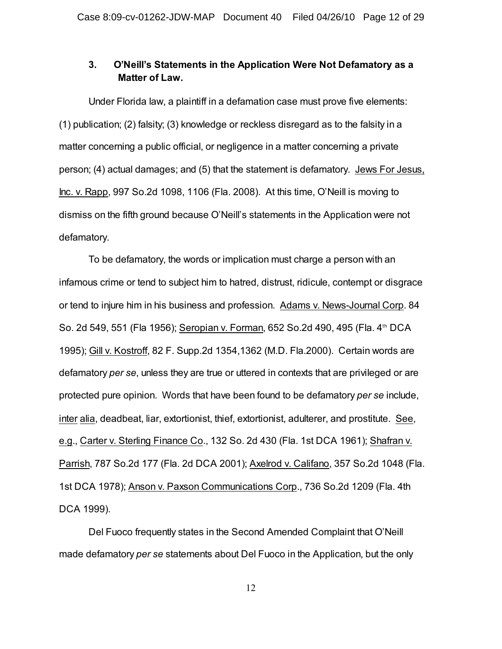## **3. O'Neill's Statements in the Application Were Not Defamatory as a Matter of Law.**

Under Florida law, a plaintiff in a defamation case must prove five elements: (1) publication; (2) falsity; (3) knowledge or reckless disregard as to the falsity in a matter concerning a public official, or negligence in a matter concerning a private person; (4) actual damages; and (5) that the statement is defamatory. Jews For Jesus, Inc. v. Rapp, 997 So.2d 1098, 1106 (Fla. 2008). At this time, O'Neill is moving to dismiss on the fifth ground because O'Neill's statements in the Application were not defamatory.

To be defamatory, the words or implication must charge a person with an infamous crime or tend to subject him to hatred, distrust, ridicule, contempt or disgrace or tend to injure him in his business and profession. Adams v. News-Journal Corp. 84 So. 2d 549, 551 (Fla 1956); Seropian v. Forman, 652 So. 2d 490, 495 (Fla. 4th DCA 1995); Gill v. Kostroff, 82 F. Supp.2d 1354,1362 (M.D. Fla.2000). Certain words are defamatory *per se*, unless they are true or uttered in contexts that are privileged or are protected pure opinion. Words that have been found to be defamatory *per se* include, inter alia, deadbeat, liar, extortionist, thief, extortionist, adulterer, and prostitute. See, e.g., Carter v. Sterling Finance Co., 132 So. 2d 430 (Fla. 1st DCA 1961); Shafran v. Parrish, 787 So.2d 177 (Fla. 2d DCA 2001); Axelrod v. Califano, 357 So.2d 1048 (Fla. 1st DCA 1978); Anson v. Paxson Communications Corp., 736 So.2d 1209 (Fla. 4th DCA 1999).

Del Fuoco frequently states in the Second Amended Complaint that O'Neill made defamatory *per se* statements about Del Fuoco in the Application, but the only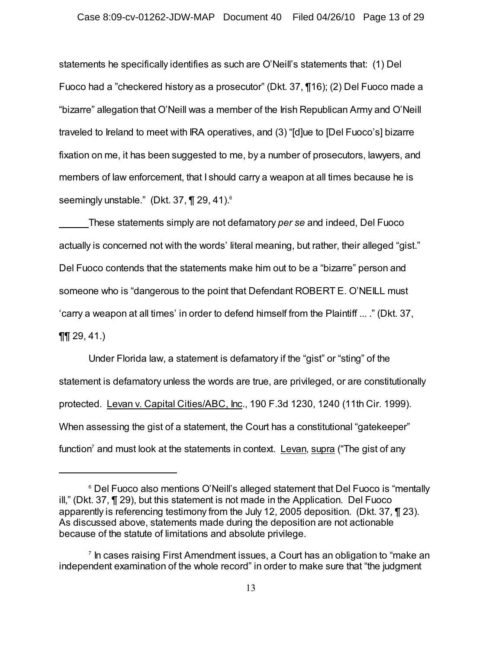statements he specifically identifies as such are O'Neill's statements that: (1) Del Fuoco had a "checkered history as a prosecutor" (Dkt. 37, ¶16); (2) Del Fuoco made a "bizarre" allegation that O'Neill was a member of the Irish Republican Army and O'Neill traveled to Ireland to meet with IRA operatives, and (3) "[d]ue to [Del Fuoco's] bizarre fixation on me, it has been suggested to me, by a number of prosecutors, lawyers, and members of law enforcement, that I should carry a weapon at all times because he is seemingly unstable." (Dkt. 37, ¶ 29, 41).<sup>6</sup>

These statements simply are not defamatory *per se* and indeed, Del Fuoco actually is concerned not with the words' literal meaning, but rather, their alleged "gist." Del Fuoco contends that the statements make him out to be a "bizarre" person and someone who is "dangerous to the point that Defendant ROBERT E. O'NEILL must 'carry a weapon at all times' in order to defend himself from the Plaintiff ... ." (Dkt. 37,  $\P\P$  29, 41.)

Under Florida law, a statement is defamatory if the "gist" or "sting" of the statement is defamatory unless the words are true, are privileged, or are constitutionally protected. Levan v. Capital Cities/ABC, Inc., 190 F.3d 1230, 1240 (11th Cir. 1999). When assessing the gist of a statement, the Court has a constitutional "gatekeeper" function<sup>7</sup> and must look at the statements in context. <u>Levan, supra</u> ("The gist of any

<sup>&</sup>lt;sup>6</sup> Del Fuoco also mentions O'Neill's alleged statement that Del Fuoco is "mentally ill," (Dkt. 37, ¶ 29), but this statement is not made in the Application. Del Fuoco apparently is referencing testimony from the July 12, 2005 deposition. (Dkt. 37, ¶ 23). As discussed above, statements made during the deposition are not actionable because of the statute of limitations and absolute privilege.

 $\frac{7}{1}$  In cases raising First Amendment issues, a Court has an obligation to "make an independent examination of the whole record" in order to make sure that "the judgment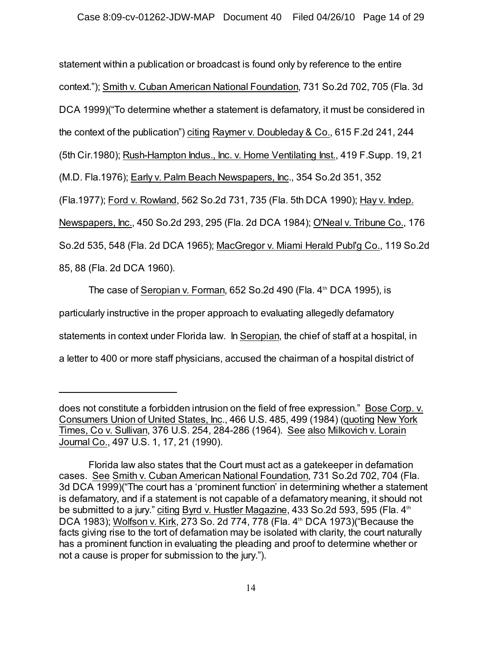statement within a publication or broadcast is found only by reference to the entire context."); Smith v. Cuban American National Foundation, 731 So.2d 702, 705 (Fla. 3d DCA 1999)("To determine whether a statement is defamatory, it must be considered in the context of the publication") citing Raymer v. Doubleday & Co., 615 F.2d 241, 244 (5th Cir.1980); Rush-Hampton Indus., Inc. v. Home Ventilating Inst., 419 F.Supp. 19, 21 (M.D. Fla.1976); Early v. Palm Beach Newspapers, Inc., 354 So.2d 351, 352 (Fla.1977); Ford v. Rowland, 562 So.2d 731, 735 (Fla. 5th DCA 1990); Hay v. Indep. Newspapers, Inc., 450 So.2d 293, 295 (Fla. 2d DCA 1984); O'Neal v. Tribune Co., 176 So.2d 535, 548 (Fla. 2d DCA 1965); MacGregor v. Miami Herald Publ'g Co., 119 So.2d 85, 88 (Fla. 2d DCA 1960).

The case of Seropian v. Forman,  $652$  So.2d 490 (Fla.  $4<sup>th</sup>$  DCA 1995), is particularly instructive in the proper approach to evaluating allegedly defamatory statements in context under Florida law. In Seropian, the chief of staff at a hospital, in a letter to 400 or more staff physicians, accused the chairman of a hospital district of

does not constitute a forbidden intrusion on the field of free expression." Bose Corp. v. Consumers Union of United States, Inc., 466 U.S. 485, 499 (1984) (quoting New York Times, Co v. Sullivan, 376 U.S. 254, 284-286 (1964). See also Milkovich v. Lorain Journal Co., 497 U.S. 1, 17, 21 (1990).

Florida law also states that the Court must act as a gatekeeper in defamation cases. See Smith v. Cuban American National Foundation, 731 So.2d 702, 704 (Fla. 3d DCA 1999)("The court has a 'prominent function' in determining whether a statement is defamatory, and if a statement is not capable of a defamatory meaning, it should not be submitted to a jury." citing Byrd v. Hustler Magazine, 433 So.2d 593, 595 (Fla. 4th DCA 1983); <u>Wolfson v. Kirk,</u> 273 So. 2d 774, 778 (Fla. 4<sup>th</sup> DCA 1973)("Because the facts giving rise to the tort of defamation may be isolated with clarity, the court naturally has a prominent function in evaluating the pleading and proof to determine whether or not a cause is proper for submission to the jury.").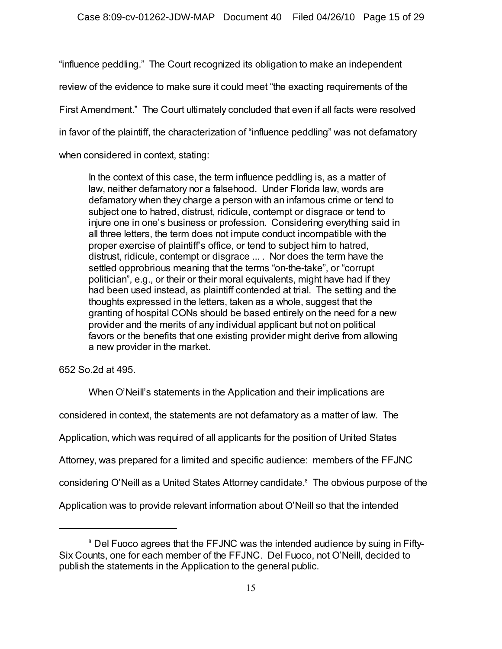"influence peddling." The Court recognized its obligation to make an independent review of the evidence to make sure it could meet "the exacting requirements of the First Amendment." The Court ultimately concluded that even if all facts were resolved in favor of the plaintiff, the characterization of "influence peddling" was not defamatory when considered in context, stating:

In the context of this case, the term influence peddling is, as a matter of law, neither defamatory nor a falsehood. Under Florida law, words are defamatory when they charge a person with an infamous crime or tend to subject one to hatred, distrust, ridicule, contempt or disgrace or tend to injure one in one's business or profession. Considering everything said in all three letters, the term does not impute conduct incompatible with the proper exercise of plaintiff's office, or tend to subject him to hatred, distrust, ridicule, contempt or disgrace ... . Nor does the term have the settled opprobrious meaning that the terms "on-the-take", or "corrupt politician", e.g., or their or their moral equivalents, might have had if they had been used instead, as plaintiff contended at trial. The setting and the thoughts expressed in the letters, taken as a whole, suggest that the granting of hospital CONs should be based entirely on the need for a new provider and the merits of any individual applicant but not on political favors or the benefits that one existing provider might derive from allowing a new provider in the market.

652 So.2d at 495.

When O'Neill's statements in the Application and their implications are

considered in context, the statements are not defamatory as a matter of law. The

Application, which was required of all applicants for the position of United States

Attorney, was prepared for a limited and specific audience: members of the FFJNC

considering O'Neill as a United States Attorney candidate.<sup>8</sup> The obvious purpose of the

Application was to provide relevant information about O'Neill so that the intended

 $^\circ$  Del Fuoco agrees that the FFJNC was the intended audience by suing in Fifty-Six Counts, one for each member of the FFJNC. Del Fuoco, not O'Neill, decided to publish the statements in the Application to the general public.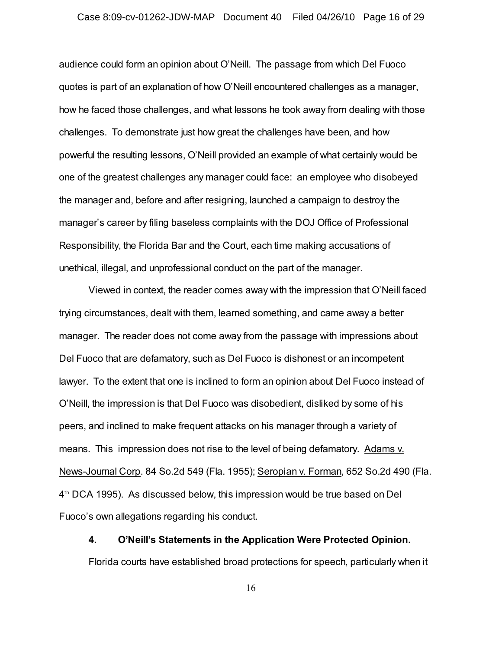audience could form an opinion about O'Neill. The passage from which Del Fuoco quotes is part of an explanation of how O'Neill encountered challenges as a manager, how he faced those challenges, and what lessons he took away from dealing with those challenges. To demonstrate just how great the challenges have been, and how powerful the resulting lessons, O'Neill provided an example of what certainly would be one of the greatest challenges any manager could face: an employee who disobeyed the manager and, before and after resigning, launched a campaign to destroy the manager's career by filing baseless complaints with the DOJ Office of Professional Responsibility, the Florida Bar and the Court, each time making accusations of unethical, illegal, and unprofessional conduct on the part of the manager.

Viewed in context, the reader comes away with the impression that O'Neill faced trying circumstances, dealt with them, learned something, and came away a better manager. The reader does not come away from the passage with impressions about Del Fuoco that are defamatory, such as Del Fuoco is dishonest or an incompetent lawyer. To the extent that one is inclined to form an opinion about Del Fuoco instead of O'Neill, the impression is that Del Fuoco was disobedient, disliked by some of his peers, and inclined to make frequent attacks on his manager through a variety of means. This impression does not rise to the level of being defamatory. Adams v. News-Journal Corp. 84 So.2d 549 (Fla. 1955); Seropian v. Forman, 652 So.2d 490 (Fla.  $4<sup>th</sup> DCA$  1995). As discussed below, this impression would be true based on Del Fuoco's own allegations regarding his conduct.

## **4. O'Neill's Statements in the Application Were Protected Opinion.**

Florida courts have established broad protections for speech, particularly when it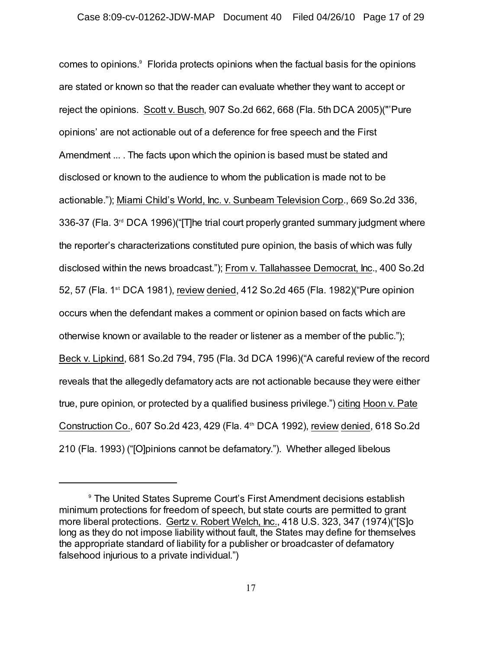comes to opinions. $9$  Florida protects opinions when the factual basis for the opinions are stated or known so that the reader can evaluate whether they want to accept or reject the opinions. Scott v. Busch, 907 So.2d 662, 668 (Fla. 5th DCA 2005)("'Pure opinions' are not actionable out of a deference for free speech and the First Amendment ... . The facts upon which the opinion is based must be stated and disclosed or known to the audience to whom the publication is made not to be actionable."); Miami Child's World, Inc. v. Sunbeam Television Corp., 669 So.2d 336, 336-37 (Fla.  $3<sup>rd</sup>$  DCA 1996)("The trial court properly granted summary judgment where the reporter's characterizations constituted pure opinion, the basis of which was fully disclosed within the news broadcast."); From v. Tallahassee Democrat, Inc., 400 So.2d 52, 57 (Fla. 1<sup>st</sup> DCA 1981), review denied, 412 So.2d 465 (Fla. 1982) ("Pure opinion occurs when the defendant makes a comment or opinion based on facts which are otherwise known or available to the reader or listener as a member of the public."); Beck v. Lipkind, 681 So.2d 794, 795 (Fla. 3d DCA 1996)("A careful review of the record reveals that the allegedly defamatory acts are not actionable because they were either true, pure opinion, or protected by a qualified business privilege.") citing Hoon v. Pate Construction Co., 607 So.2d 423, 429 (Fla.  $4<sup>th</sup>$  DCA 1992), review denied, 618 So.2d 210 (Fla. 1993) ("[O]pinions cannot be defamatory."). Whether alleged libelous

<sup>&</sup>lt;sup>9</sup> The United States Supreme Court's First Amendment decisions establish minimum protections for freedom of speech, but state courts are permitted to grant more liberal protections. Gertz v. Robert Welch, Inc., 418 U.S. 323, 347 (1974)("[S]o long as they do not impose liability without fault, the States may define for themselves the appropriate standard of liability for a publisher or broadcaster of defamatory falsehood injurious to a private individual.")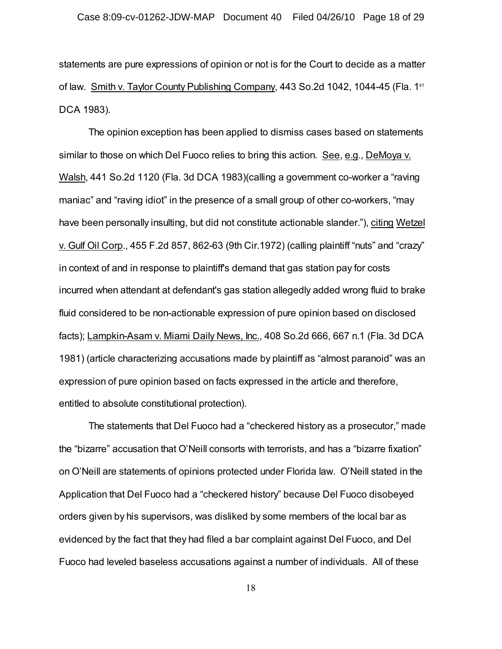statements are pure expressions of opinion or not is for the Court to decide as a matter of law. Smith v. Taylor County Publishing Company, 443 So.2d 1042, 1044-45 (Fla. 1<sup>st</sup>) DCA 1983).

The opinion exception has been applied to dismiss cases based on statements similar to those on which Del Fuoco relies to bring this action. See, e.g., DeMoya v. Walsh, 441 So.2d 1120 (Fla. 3d DCA 1983)(calling a government co-worker a "raving maniac" and "raving idiot" in the presence of a small group of other co-workers, "may have been personally insulting, but did not constitute actionable slander."), citing Wetzel v. Gulf Oil Corp., 455 F.2d 857, 862-63 (9th Cir.1972) (calling plaintiff "nuts" and "crazy" in context of and in response to plaintiff's demand that gas station pay for costs incurred when attendant at defendant's gas station allegedly added wrong fluid to brake fluid considered to be non-actionable expression of pure opinion based on disclosed facts); Lampkin-Asam v. Miami Daily News, Inc., 408 So.2d 666, 667 n.1 (Fla. 3d DCA 1981) (article characterizing accusations made by plaintiff as "almost paranoid" was an expression of pure opinion based on facts expressed in the article and therefore, entitled to absolute constitutional protection).

The statements that Del Fuoco had a "checkered history as a prosecutor," made the "bizarre" accusation that O'Neill consorts with terrorists, and has a "bizarre fixation" on O'Neill are statements of opinions protected under Florida law. O'Neill stated in the Application that Del Fuoco had a "checkered history" because Del Fuoco disobeyed orders given by his supervisors, was disliked by some members of the local bar as evidenced by the fact that they had filed a bar complaint against Del Fuoco, and Del Fuoco had leveled baseless accusations against a number of individuals. All of these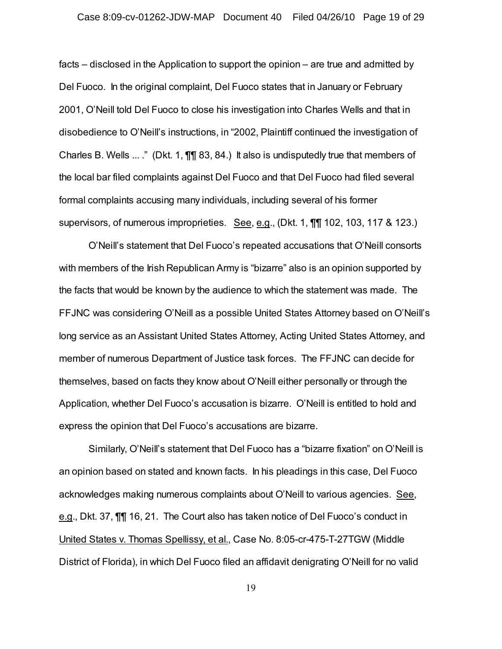### Case 8:09-cv-01262-JDW-MAP Document 40 Filed 04/26/10 Page 19 of 29

facts – disclosed in the Application to support the opinion – are true and admitted by Del Fuoco. In the original complaint, Del Fuoco states that in January or February 2001, O'Neill told Del Fuoco to close his investigation into Charles Wells and that in disobedience to O'Neill's instructions, in "2002, Plaintiff continued the investigation of Charles B. Wells ... ." (Dkt. 1, ¶¶ 83, 84.) It also is undisputedly true that members of the local bar filed complaints against Del Fuoco and that Del Fuoco had filed several formal complaints accusing many individuals, including several of his former supervisors, of numerous improprieties. See, e.g., (Dkt. 1, ¶¶ 102, 103, 117 & 123.)

O'Neill's statement that Del Fuoco's repeated accusations that O'Neill consorts with members of the Irish Republican Army is "bizarre" also is an opinion supported by the facts that would be known by the audience to which the statement was made. The FFJNC was considering O'Neill as a possible United States Attorney based on O'Neill's long service as an Assistant United States Attorney, Acting United States Attorney, and member of numerous Department of Justice task forces. The FFJNC can decide for themselves, based on facts they know about O'Neill either personally or through the Application, whether Del Fuoco's accusation is bizarre. O'Neill is entitled to hold and express the opinion that Del Fuoco's accusations are bizarre.

Similarly, O'Neill's statement that Del Fuoco has a "bizarre fixation" on O'Neill is an opinion based on stated and known facts. In his pleadings in this case, Del Fuoco acknowledges making numerous complaints about O'Neill to various agencies. See, e.g., Dkt. 37, ¶¶ 16, 21. The Court also has taken notice of Del Fuoco's conduct in United States v. Thomas Spellissy, et al., Case No. 8:05-cr-475-T-27TGW (Middle District of Florida), in which Del Fuoco filed an affidavit denigrating O'Neill for no valid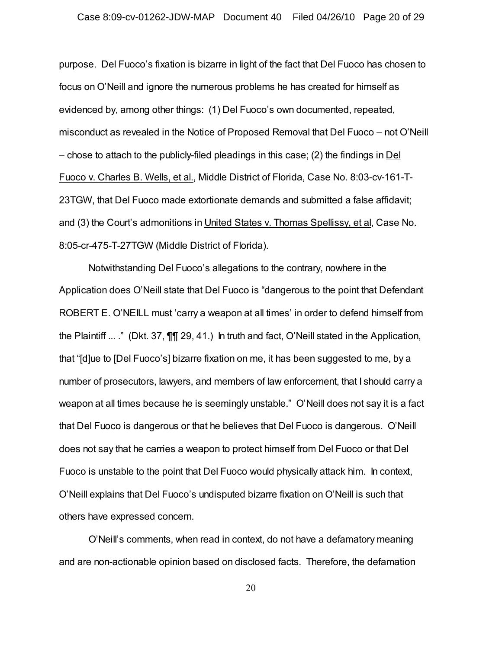purpose. Del Fuoco's fixation is bizarre in light of the fact that Del Fuoco has chosen to focus on O'Neill and ignore the numerous problems he has created for himself as evidenced by, among other things: (1) Del Fuoco's own documented, repeated, misconduct as revealed in the Notice of Proposed Removal that Del Fuoco – not O'Neill – chose to attach to the publicly-filed pleadings in this case; (2) the findings in Del Fuoco v. Charles B. Wells, et al., Middle District of Florida, Case No. 8:03-cv-161-T-23TGW, that Del Fuoco made extortionate demands and submitted a false affidavit; and (3) the Court's admonitions in United States v. Thomas Spellissy, et al, Case No. 8:05-cr-475-T-27TGW (Middle District of Florida).

Notwithstanding Del Fuoco's allegations to the contrary, nowhere in the Application does O'Neill state that Del Fuoco is "dangerous to the point that Defendant ROBERT E. O'NEILL must 'carry a weapon at all times' in order to defend himself from the Plaintiff ... ." (Dkt. 37, ¶¶ 29, 41.) In truth and fact, O'Neill stated in the Application, that "[d]ue to [Del Fuoco's] bizarre fixation on me, it has been suggested to me, by a number of prosecutors, lawyers, and members of law enforcement, that I should carry a weapon at all times because he is seemingly unstable." O'Neill does not say it is a fact that Del Fuoco is dangerous or that he believes that Del Fuoco is dangerous. O'Neill does not say that he carries a weapon to protect himself from Del Fuoco or that Del Fuoco is unstable to the point that Del Fuoco would physically attack him. In context, O'Neill explains that Del Fuoco's undisputed bizarre fixation on O'Neill is such that others have expressed concern.

O'Neill's comments, when read in context, do not have a defamatory meaning and are non-actionable opinion based on disclosed facts. Therefore, the defamation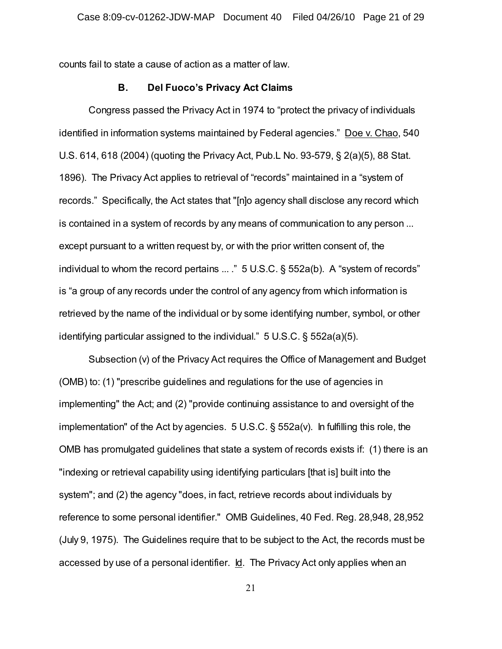counts fail to state a cause of action as a matter of law.

### **B. Del Fuoco's Privacy Act Claims**

Congress passed the Privacy Act in 1974 to "protect the privacy of individuals identified in information systems maintained by Federal agencies." Doe v. Chao, 540 U.S. 614, 618 (2004) (quoting the Privacy Act, Pub.L No. 93-579, § 2(a)(5), 88 Stat. 1896). The Privacy Act applies to retrieval of "records" maintained in a "system of records." Specifically, the Act states that "[n]o agency shall disclose any record which is contained in a system of records by any means of communication to any person ... except pursuant to a written request by, or with the prior written consent of, the individual to whom the record pertains ... ." 5 U.S.C. § 552a(b). A "system of records" is "a group of any records under the control of any agency from which information is retrieved by the name of the individual or by some identifying number, symbol, or other identifying particular assigned to the individual." 5 U.S.C. § 552a(a)(5).

Subsection (v) of the Privacy Act requires the Office of Management and Budget (OMB) to: (1) "prescribe guidelines and regulations for the use of agencies in implementing" the Act; and (2) "provide continuing assistance to and oversight of the implementation" of the Act by agencies. 5 U.S.C. § 552a(v). In fulfilling this role, the OMB has promulgated guidelines that state a system of records exists if: (1) there is an "indexing or retrieval capability using identifying particulars [that is] built into the system"; and (2) the agency "does, in fact, retrieve records about individuals by reference to some personal identifier." OMB Guidelines, 40 Fed. Reg. 28,948, 28,952 (July 9, 1975). The Guidelines require that to be subject to the Act, the records must be accessed by use of a personal identifier. Id. The Privacy Act only applies when an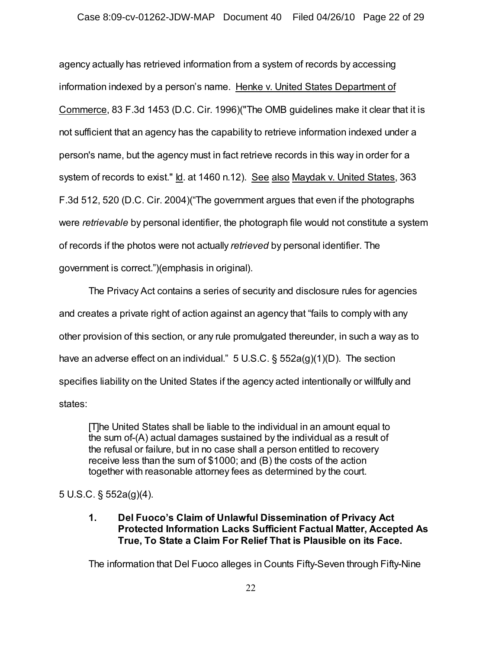agency actually has retrieved information from a system of records by accessing information indexed by a person's name. Henke v. United States Department of Commerce, 83 F.3d 1453 (D.C. Cir. 1996)("The OMB guidelines make it clear that it is not sufficient that an agency has the capability to retrieve information indexed under a person's name, but the agency must in fact retrieve records in this way in order for a system of records to exist." Id. at 1460 n.12). See also Maydak v. United States, 363 F.3d 512, 520 (D.C. Cir. 2004)("The government argues that even if the photographs were *retrievable* by personal identifier, the photograph file would not constitute a system of records if the photos were not actually *retrieved* by personal identifier. The government is correct.")(emphasis in original).

The Privacy Act contains a series of security and disclosure rules for agencies and creates a private right of action against an agency that "fails to comply with any other provision of this section, or any rule promulgated thereunder, in such a way as to have an adverse effect on an individual." 5 U.S.C. § 552a(g)(1)(D). The section specifies liability on the United States if the agency acted intentionally or willfully and states:

[T]he United States shall be liable to the individual in an amount equal to the sum of-(A) actual damages sustained by the individual as a result of the refusal or failure, but in no case shall a person entitled to recovery receive less than the sum of \$1000; and (B) the costs of the action together with reasonable attorney fees as determined by the court.

## 5 U.S.C. § 552a(g)(4).

**1. Del Fuoco's Claim of Unlawful Dissemination of Privacy Act Protected Information Lacks Sufficient Factual Matter, Accepted As True, To State a Claim For Relief That is Plausible on its Face.**

The information that Del Fuoco alleges in Counts Fifty-Seven through Fifty-Nine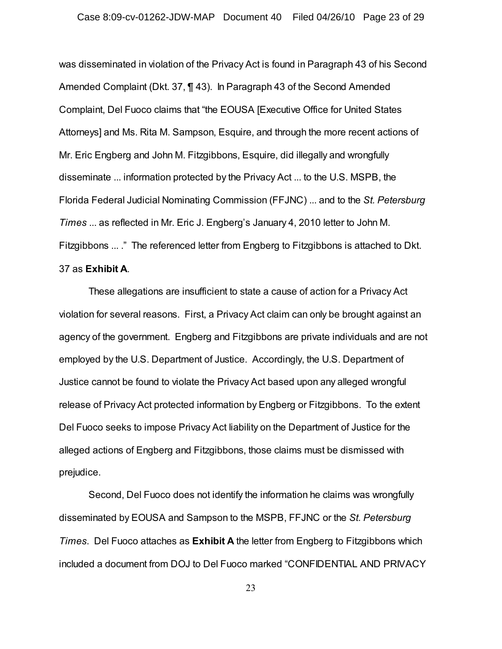was disseminated in violation of the Privacy Act is found in Paragraph 43 of his Second Amended Complaint (Dkt. 37, ¶ 43). In Paragraph 43 of the Second Amended Complaint, Del Fuoco claims that "the EOUSA [Executive Office for United States Attorneys] and Ms. Rita M. Sampson, Esquire, and through the more recent actions of Mr. Eric Engberg and John M. Fitzgibbons, Esquire, did illegally and wrongfully disseminate ... information protected by the Privacy Act ... to the U.S. MSPB, the Florida Federal Judicial Nominating Commission (FFJNC) ... and to the *St. Petersburg Times* ... as reflected in Mr. Eric J. Engberg's January 4, 2010 letter to John M. Fitzgibbons ... ." The referenced letter from Engberg to Fitzgibbons is attached to Dkt. 37 as **Exhibit A**.

These allegations are insufficient to state a cause of action for a Privacy Act violation for several reasons. First, a Privacy Act claim can only be brought against an agency of the government. Engberg and Fitzgibbons are private individuals and are not employed by the U.S. Department of Justice. Accordingly, the U.S. Department of Justice cannot be found to violate the Privacy Act based upon any alleged wrongful release of Privacy Act protected information by Engberg or Fitzgibbons. To the extent Del Fuoco seeks to impose Privacy Act liability on the Department of Justice for the alleged actions of Engberg and Fitzgibbons, those claims must be dismissed with prejudice.

Second, Del Fuoco does not identify the information he claims was wrongfully disseminated by EOUSA and Sampson to the MSPB, FFJNC or the *St. Petersburg Times*. Del Fuoco attaches as **Exhibit A** the letter from Engberg to Fitzgibbons which included a document from DOJ to Del Fuoco marked "CONFIDENTIAL AND PRIVACY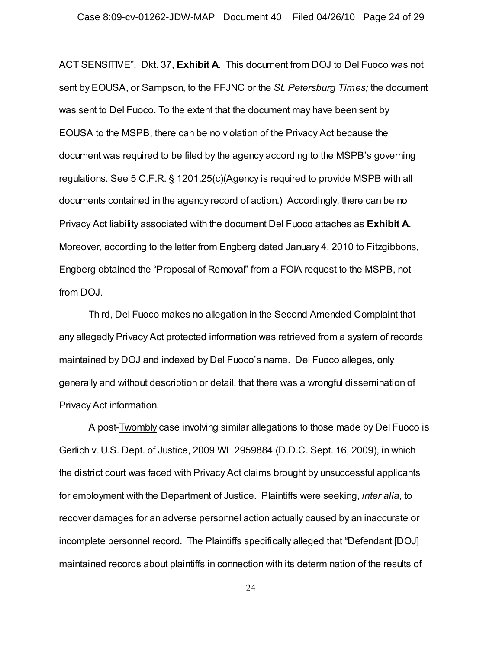ACT SENSITIVE". Dkt. 37, **Exhibit A**. This document from DOJ to Del Fuoco was not sent by EOUSA, or Sampson, to the FFJNC or the *St. Petersburg Times;* the document was sent to Del Fuoco. To the extent that the document may have been sent by EOUSA to the MSPB, there can be no violation of the Privacy Act because the document was required to be filed by the agency according to the MSPB's governing regulations. See 5 C.F.R. § 1201.25(c)(Agency is required to provide MSPB with all documents contained in the agency record of action.) Accordingly, there can be no Privacy Act liability associated with the document Del Fuoco attaches as **Exhibit A**. Moreover, according to the letter from Engberg dated January 4, 2010 to Fitzgibbons, Engberg obtained the "Proposal of Removal" from a FOIA request to the MSPB, not from DOJ.

Third, Del Fuoco makes no allegation in the Second Amended Complaint that any allegedly Privacy Act protected information was retrieved from a system of records maintained by DOJ and indexed by Del Fuoco's name. Del Fuoco alleges, only generally and without description or detail, that there was a wrongful dissemination of Privacy Act information.

A post-Twombly case involving similar allegations to those made by Del Fuoco is Gerlich v. U.S. Dept. of Justice, 2009 WL 2959884 (D.D.C. Sept. 16, 2009), in which the district court was faced with Privacy Act claims brought by unsuccessful applicants for employment with the Department of Justice. Plaintiffs were seeking, *inter alia*, to recover damages for an adverse personnel action actually caused by an inaccurate or incomplete personnel record. The Plaintiffs specifically alleged that "Defendant [DOJ] maintained records about plaintiffs in connection with its determination of the results of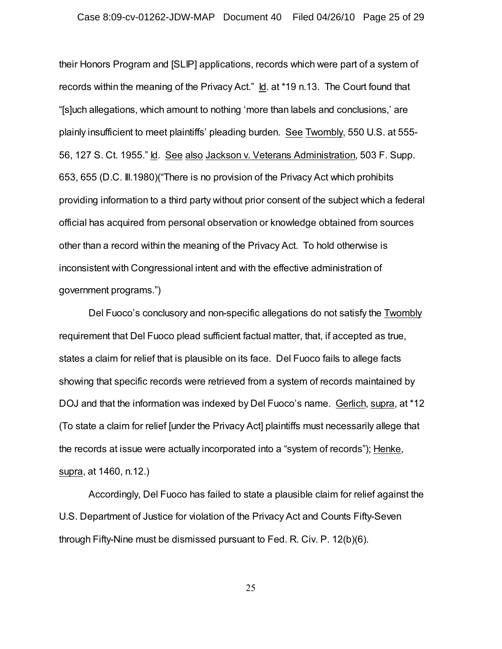their Honors Program and [SLIP] applications, records which were part of a system of records within the meaning of the Privacy Act." Id. at \*19 n.13. The Court found that "[s]uch allegations, which amount to nothing 'more than labels and conclusions,' are plainly insufficient to meet plaintiffs' pleading burden. See Twombly, 550 U.S. at 555- 56, 127 S. Ct. 1955." Id. See also Jackson v. Veterans Administration, 503 F. Supp. 653, 655 (D.C. Ill.1980)("There is no provision of the Privacy Act which prohibits providing information to a third party without prior consent of the subject which a federal official has acquired from personal observation or knowledge obtained from sources other than a record within the meaning of the Privacy Act. To hold otherwise is inconsistent with Congressional intent and with the effective administration of government programs.")

Del Fuoco's conclusory and non-specific allegations do not satisfy the Twombly requirement that Del Fuoco plead sufficient factual matter, that, if accepted as true, states a claim for relief that is plausible on its face. Del Fuoco fails to allege facts showing that specific records were retrieved from a system of records maintained by DOJ and that the information was indexed by Del Fuoco's name. Gerlich, supra, at \*12 (To state a claim for relief [under the Privacy Act] plaintiffs must necessarily allege that the records at issue were actually incorporated into a "system of records"); Henke, supra, at 1460, n.12.)

Accordingly, Del Fuoco has failed to state a plausible claim for relief against the U.S. Department of Justice for violation of the Privacy Act and Counts Fifty-Seven through Fifty-Nine must be dismissed pursuant to Fed. R. Civ. P. 12(b)(6).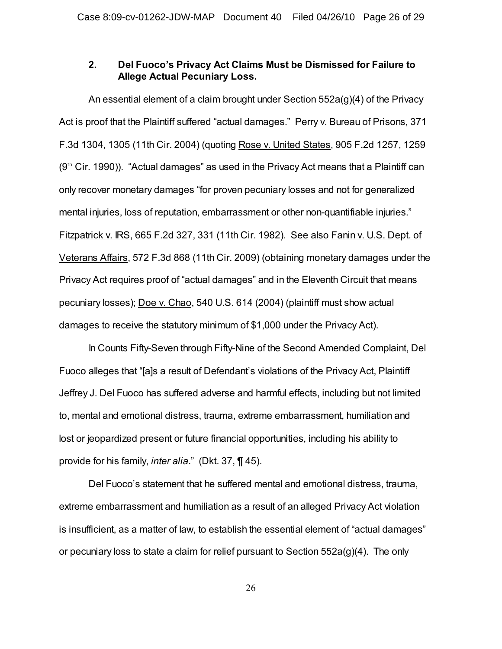## **2. Del Fuoco's Privacy Act Claims Must be Dismissed for Failure to Allege Actual Pecuniary Loss.**

An essential element of a claim brought under Section 552a(g)(4) of the Privacy Act is proof that the Plaintiff suffered "actual damages." Perry v. Bureau of Prisons, 371 F.3d 1304, 1305 (11th Cir. 2004) (quoting Rose v. United States, 905 F.2d 1257, 1259  $(9<sup>th</sup>$  Cir. 1990)). "Actual damages" as used in the Privacy Act means that a Plaintiff can only recover monetary damages "for proven pecuniary losses and not for generalized mental injuries, loss of reputation, embarrassment or other non-quantifiable injuries." Fitzpatrick v. IRS, 665 F.2d 327, 331 (11th Cir. 1982). See also Fanin v. U.S. Dept. of Veterans Affairs, 572 F.3d 868 (11th Cir. 2009) (obtaining monetary damages under the Privacy Act requires proof of "actual damages" and in the Eleventh Circuit that means pecuniary losses); Doe v. Chao, 540 U.S. 614 (2004) (plaintiff must show actual damages to receive the statutory minimum of \$1,000 under the Privacy Act).

In Counts Fifty-Seven through Fifty-Nine of the Second Amended Complaint, Del Fuoco alleges that "[a]s a result of Defendant's violations of the Privacy Act, Plaintiff Jeffrey J. Del Fuoco has suffered adverse and harmful effects, including but not limited to, mental and emotional distress, trauma, extreme embarrassment, humiliation and lost or jeopardized present or future financial opportunities, including his ability to provide for his family, *inter alia*." (Dkt. 37, ¶ 45).

Del Fuoco's statement that he suffered mental and emotional distress, trauma, extreme embarrassment and humiliation as a result of an alleged Privacy Act violation is insufficient, as a matter of law, to establish the essential element of "actual damages" or pecuniary loss to state a claim for relief pursuant to Section 552a(g)(4). The only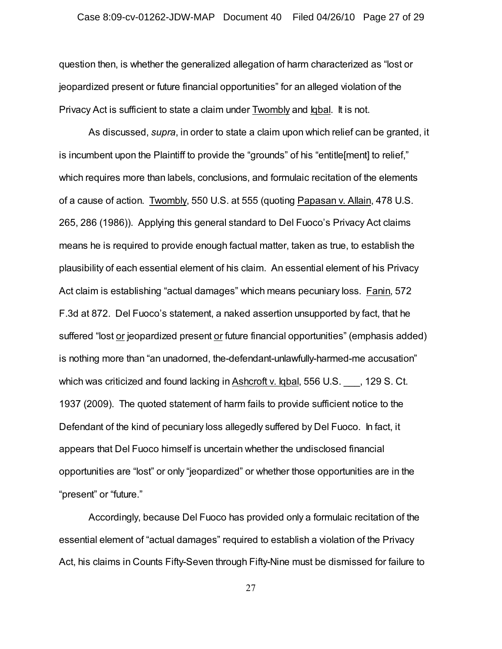### Case 8:09-cv-01262-JDW-MAP Document 40 Filed 04/26/10 Page 27 of 29

question then, is whether the generalized allegation of harm characterized as "lost or jeopardized present or future financial opportunities" for an alleged violation of the Privacy Act is sufficient to state a claim under Twombly and Iqbal. It is not.

As discussed, *supra*, in order to state a claim upon which relief can be granted, it is incumbent upon the Plaintiff to provide the "grounds" of his "entitle[ment] to relief," which requires more than labels, conclusions, and formulaic recitation of the elements of a cause of action. Twombly, 550 U.S. at 555 (quoting Papasan v. Allain, 478 U.S. 265, 286 (1986)). Applying this general standard to Del Fuoco's Privacy Act claims means he is required to provide enough factual matter, taken as true, to establish the plausibility of each essential element of his claim. An essential element of his Privacy Act claim is establishing "actual damages" which means pecuniary loss. Fanin, 572 F.3d at 872. Del Fuoco's statement, a naked assertion unsupported by fact, that he suffered "lost or jeopardized present or future financial opportunities" (emphasis added) is nothing more than "an unadorned, the-defendant-unlawfully-harmed-me accusation" which was criticized and found lacking in Ashcroft v. Iqbal, 556 U.S.  $\qquad$ , 129 S. Ct. 1937 (2009). The quoted statement of harm fails to provide sufficient notice to the Defendant of the kind of pecuniary loss allegedly suffered by Del Fuoco. In fact, it appears that Del Fuoco himself is uncertain whether the undisclosed financial opportunities are "lost" or only "jeopardized" or whether those opportunities are in the "present" or "future."

Accordingly, because Del Fuoco has provided only a formulaic recitation of the essential element of "actual damages" required to establish a violation of the Privacy Act, his claims in Counts Fifty-Seven through Fifty-Nine must be dismissed for failure to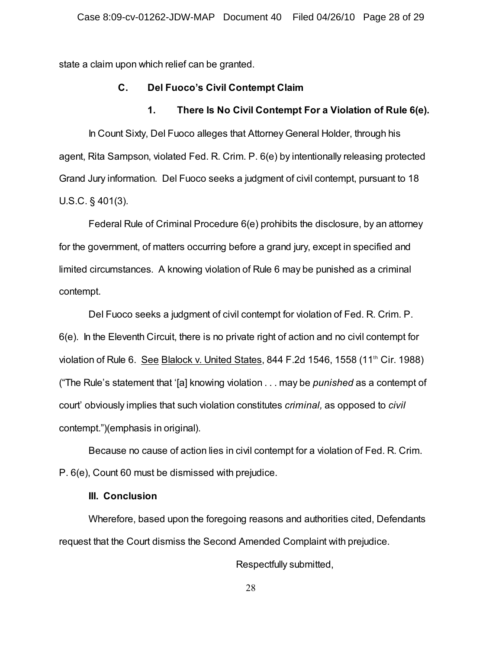state a claim upon which relief can be granted.

### **C. Del Fuoco's Civil Contempt Claim**

### **1. There Is No Civil Contempt For a Violation of Rule 6(e).**

In Count Sixty, Del Fuoco alleges that Attorney General Holder, through his agent, Rita Sampson, violated Fed. R. Crim. P. 6(e) by intentionally releasing protected Grand Jury information. Del Fuoco seeks a judgment of civil contempt, pursuant to 18 U.S.C. § 401(3).

Federal Rule of Criminal Procedure 6(e) prohibits the disclosure, by an attorney for the government, of matters occurring before a grand jury, except in specified and limited circumstances. A knowing violation of Rule 6 may be punished as a criminal contempt.

Del Fuoco seeks a judgment of civil contempt for violation of Fed. R. Crim. P. 6(e). In the Eleventh Circuit, there is no private right of action and no civil contempt for violation of Rule 6. See Blalock v. United States, 844 F.2d 1546, 1558 (11<sup>th</sup> Cir. 1988) ("The Rule's statement that '[a] knowing violation . . . may be *punished* as a contempt of court' obviously implies that such violation constitutes *criminal,* as opposed to *civil* contempt.")(emphasis in original).

Because no cause of action lies in civil contempt for a violation of Fed. R. Crim. P. 6(e), Count 60 must be dismissed with prejudice.

#### **III. Conclusion**

Wherefore, based upon the foregoing reasons and authorities cited, Defendants request that the Court dismiss the Second Amended Complaint with prejudice.

Respectfully submitted,